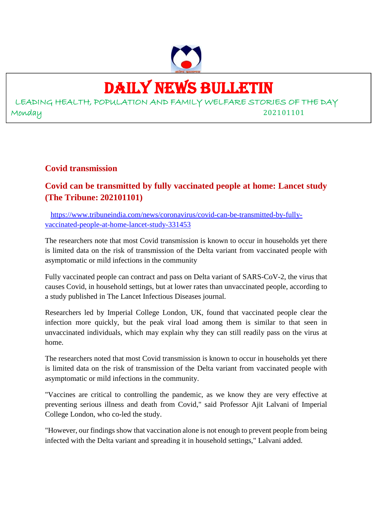

## DAILY NEWS BULLETIN

LEADING HEALTH, POPULATION AND FAMILY WELFARE STORIES OF THE DAY Monday 202101101

#### **Covid transmission**

#### **Covid can be transmitted by fully vaccinated people at home: Lancet study (The Tribune: 202101101)**

https://www.tribuneindia.com/news/coronavirus/covid-can-be-transmitted-by-fullyvaccinated-people-at-home-lancet-study-331453

The researchers note that most Covid transmission is known to occur in households yet there is limited data on the risk of transmission of the Delta variant from vaccinated people with asymptomatic or mild infections in the community

Fully vaccinated people can contract and pass on Delta variant of SARS-CoV-2, the virus that causes Covid, in household settings, but at lower rates than unvaccinated people, according to a study published in The Lancet Infectious Diseases journal.

Researchers led by Imperial College London, UK, found that vaccinated people clear the infection more quickly, but the peak viral load among them is similar to that seen in unvaccinated individuals, which may explain why they can still readily pass on the virus at home.

The researchers noted that most Covid transmission is known to occur in households yet there is limited data on the risk of transmission of the Delta variant from vaccinated people with asymptomatic or mild infections in the community.

"Vaccines are critical to controlling the pandemic, as we know they are very effective at preventing serious illness and death from Covid," said Professor Ajit Lalvani of Imperial College London, who co-led the study.

"However, our findings show that vaccination alone is not enough to prevent people from being infected with the Delta variant and spreading it in household settings," Lalvani added.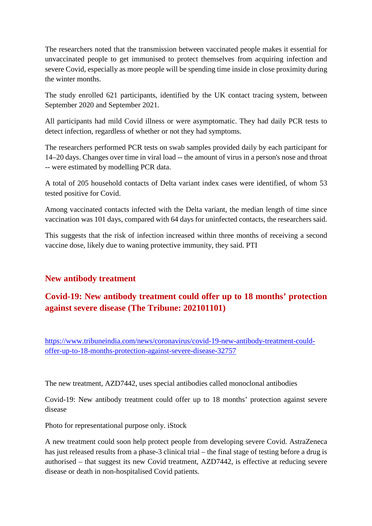The researchers noted that the transmission between vaccinated people makes it essential for unvaccinated people to get immunised to protect themselves from acquiring infection and severe Covid, especially as more people will be spending time inside in close proximity during the winter months.

The study enrolled 621 participants, identified by the UK contact tracing system, between September 2020 and September 2021.

All participants had mild Covid illness or were asymptomatic. They had daily PCR tests to detect infection, regardless of whether or not they had symptoms.

The researchers performed PCR tests on swab samples provided daily by each participant for 14–20 days. Changes over time in viral load -- the amount of virus in a person's nose and throat -- were estimated by modelling PCR data.

A total of 205 household contacts of Delta variant index cases were identified, of whom 53 tested positive for Covid.

Among vaccinated contacts infected with the Delta variant, the median length of time since vaccination was 101 days, compared with 64 days for uninfected contacts, the researchers said.

This suggests that the risk of infection increased within three months of receiving a second vaccine dose, likely due to waning protective immunity, they said. PTI

#### **New antibody treatment**

#### **Covid-19: New antibody treatment could offer up to 18 months' protection against severe disease (The Tribune: 202101101)**

https://www.tribuneindia.com/news/coronavirus/covid-19-new-antibody-treatment-couldoffer-up-to-18-months-protection-against-severe-disease-32757

The new treatment, AZD7442, uses special antibodies called monoclonal antibodies

Covid-19: New antibody treatment could offer up to 18 months' protection against severe disease

Photo for representational purpose only. iStock

A new treatment could soon help protect people from developing severe Covid. AstraZeneca has just released results from a phase-3 clinical trial – the final stage of testing before a drug is authorised – that suggest its new Covid treatment, AZD7442, is effective at reducing severe disease or death in non-hospitalised Covid patients.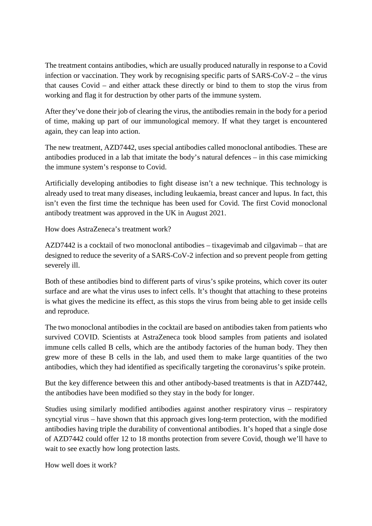The treatment contains antibodies, which are usually produced naturally in response to a Covid infection or vaccination. They work by recognising specific parts of SARS-CoV-2 – the virus that causes Covid – and either attack these directly or bind to them to stop the virus from working and flag it for destruction by other parts of the immune system.

After they've done their job of clearing the virus, the antibodies remain in the body for a period of time, making up part of our immunological memory. If what they target is encountered again, they can leap into action.

The new treatment, AZD7442, uses special antibodies called monoclonal antibodies. These are antibodies produced in a lab that imitate the body's natural defences – in this case mimicking the immune system's response to Covid.

Artificially developing antibodies to fight disease isn't a new technique. This technology is already used to treat many diseases, including leukaemia, breast cancer and lupus. In fact, this isn't even the first time the technique has been used for Covid. The first Covid monoclonal antibody treatment was approved in the UK in August 2021.

How does AstraZeneca's treatment work?

AZD7442 is a cocktail of two monoclonal antibodies – tixagevimab and cilgavimab – that are designed to reduce the severity of a SARS-CoV-2 infection and so prevent people from getting severely ill.

Both of these antibodies bind to different parts of virus's spike proteins, which cover its outer surface and are what the virus uses to infect cells. It's thought that attaching to these proteins is what gives the medicine its effect, as this stops the virus from being able to get inside cells and reproduce.

The two monoclonal antibodies in the cocktail are based on antibodies taken from patients who survived COVID. Scientists at AstraZeneca took blood samples from patients and isolated immune cells called B cells, which are the antibody factories of the human body. They then grew more of these B cells in the lab, and used them to make large quantities of the two antibodies, which they had identified as specifically targeting the coronavirus's spike protein.

But the key difference between this and other antibody-based treatments is that in AZD7442, the antibodies have been modified so they stay in the body for longer.

Studies using similarly modified antibodies against another respiratory virus – respiratory syncytial virus – have shown that this approach gives long-term protection, with the modified antibodies having triple the durability of conventional antibodies. It's hoped that a single dose of AZD7442 could offer 12 to 18 months protection from severe Covid, though we'll have to wait to see exactly how long protection lasts.

How well does it work?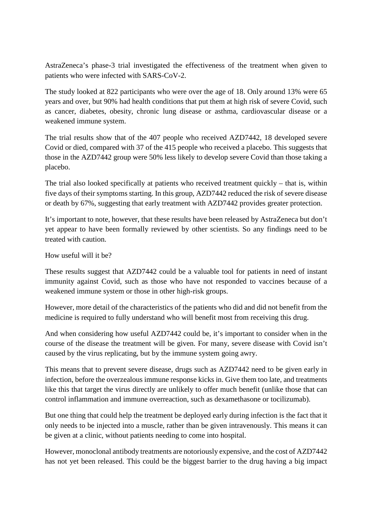AstraZeneca's phase-3 trial investigated the effectiveness of the treatment when given to patients who were infected with SARS-CoV-2.

The study looked at 822 participants who were over the age of 18. Only around 13% were 65 years and over, but 90% had health conditions that put them at high risk of severe Covid, such as cancer, diabetes, obesity, chronic lung disease or asthma, cardiovascular disease or a weakened immune system.

The trial results show that of the 407 people who received AZD7442, 18 developed severe Covid or died, compared with 37 of the 415 people who received a placebo. This suggests that those in the AZD7442 group were 50% less likely to develop severe Covid than those taking a placebo.

The trial also looked specifically at patients who received treatment quickly  $-$  that is, within five days of their symptoms starting. In this group, AZD7442 reduced the risk of severe disease or death by 67%, suggesting that early treatment with AZD7442 provides greater protection.

It's important to note, however, that these results have been released by AstraZeneca but don't yet appear to have been formally reviewed by other scientists. So any findings need to be treated with caution.

How useful will it be?

These results suggest that AZD7442 could be a valuable tool for patients in need of instant immunity against Covid, such as those who have not responded to vaccines because of a weakened immune system or those in other high-risk groups.

However, more detail of the characteristics of the patients who did and did not benefit from the medicine is required to fully understand who will benefit most from receiving this drug.

And when considering how useful AZD7442 could be, it's important to consider when in the course of the disease the treatment will be given. For many, severe disease with Covid isn't caused by the virus replicating, but by the immune system going awry.

This means that to prevent severe disease, drugs such as AZD7442 need to be given early in infection, before the overzealous immune response kicks in. Give them too late, and treatments like this that target the virus directly are unlikely to offer much benefit (unlike those that can control inflammation and immune overreaction, such as dexamethasone or tocilizumab).

But one thing that could help the treatment be deployed early during infection is the fact that it only needs to be injected into a muscle, rather than be given intravenously. This means it can be given at a clinic, without patients needing to come into hospital.

However, monoclonal antibody treatments are notoriously expensive, and the cost of AZD7442 has not yet been released. This could be the biggest barrier to the drug having a big impact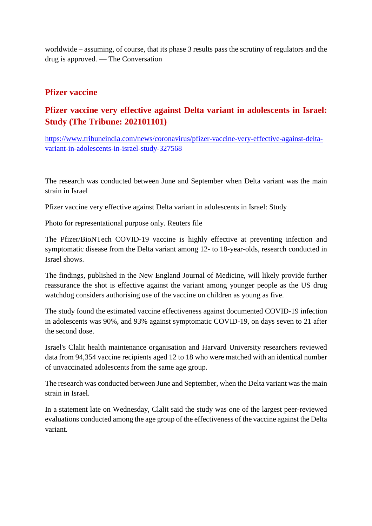worldwide – assuming, of course, that its phase 3 results pass the scrutiny of regulators and the drug is approved. — The Conversation

#### **Pfizer vaccine**

#### **Pfizer vaccine very effective against Delta variant in adolescents in Israel: Study (The Tribune: 202101101)**

https://www.tribuneindia.com/news/coronavirus/pfizer-vaccine-very-effective-against-deltavariant-in-adolescents-in-israel-study-327568

The research was conducted between June and September when Delta variant was the main strain in Israel

Pfizer vaccine very effective against Delta variant in adolescents in Israel: Study

Photo for representational purpose only. Reuters file

The Pfizer/BioNTech COVID-19 vaccine is highly effective at preventing infection and symptomatic disease from the Delta variant among 12- to 18-year-olds, research conducted in Israel shows.

The findings, published in the New England Journal of Medicine, will likely provide further reassurance the shot is effective against the variant among younger people as the US drug watchdog considers authorising use of the vaccine on children as young as five.

The study found the estimated vaccine effectiveness against documented COVID-19 infection in adolescents was 90%, and 93% against symptomatic COVID-19, on days seven to 21 after the second dose.

Israel's Clalit health maintenance organisation and Harvard University researchers reviewed data from 94,354 vaccine recipients aged 12 to 18 who were matched with an identical number of unvaccinated adolescents from the same age group.

The research was conducted between June and September, when the Delta variant was the main strain in Israel.

In a statement late on Wednesday, Clalit said the study was one of the largest peer-reviewed evaluations conducted among the age group of the effectiveness of the vaccine against the Delta variant.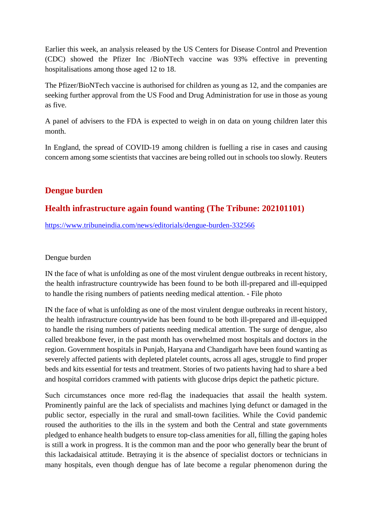Earlier this week, an analysis released by the US Centers for Disease Control and Prevention (CDC) showed the Pfizer Inc /BioNTech vaccine was 93% effective in preventing hospitalisations among those aged 12 to 18.

The Pfizer/BioNTech vaccine is authorised for children as young as 12, and the companies are seeking further approval from the US Food and Drug Administration for use in those as young as five.

A panel of advisers to the FDA is expected to weigh in on data on young children later this month.

In England, the spread of COVID-19 among children is fuelling a rise in cases and causing concern among some scientists that vaccines are being rolled out in schools too slowly. Reuters

#### **Dengue burden**

#### **Health infrastructure again found wanting (The Tribune: 202101101)**

https://www.tribuneindia.com/news/editorials/dengue-burden-332566

Dengue burden

IN the face of what is unfolding as one of the most virulent dengue outbreaks in recent history, the health infrastructure countrywide has been found to be both ill-prepared and ill-equipped to handle the rising numbers of patients needing medical attention. - File photo

IN the face of what is unfolding as one of the most virulent dengue outbreaks in recent history, the health infrastructure countrywide has been found to be both ill-prepared and ill-equipped to handle the rising numbers of patients needing medical attention. The surge of dengue, also called breakbone fever, in the past month has overwhelmed most hospitals and doctors in the region. Government hospitals in Punjab, Haryana and Chandigarh have been found wanting as severely affected patients with depleted platelet counts, across all ages, struggle to find proper beds and kits essential for tests and treatment. Stories of two patients having had to share a bed and hospital corridors crammed with patients with glucose drips depict the pathetic picture.

Such circumstances once more red-flag the inadequacies that assail the health system. Prominently painful are the lack of specialists and machines lying defunct or damaged in the public sector, especially in the rural and small-town facilities. While the Covid pandemic roused the authorities to the ills in the system and both the Central and state governments pledged to enhance health budgets to ensure top-class amenities for all, filling the gaping holes is still a work in progress. It is the common man and the poor who generally bear the brunt of this lackadaisical attitude. Betraying it is the absence of specialist doctors or technicians in many hospitals, even though dengue has of late become a regular phenomenon during the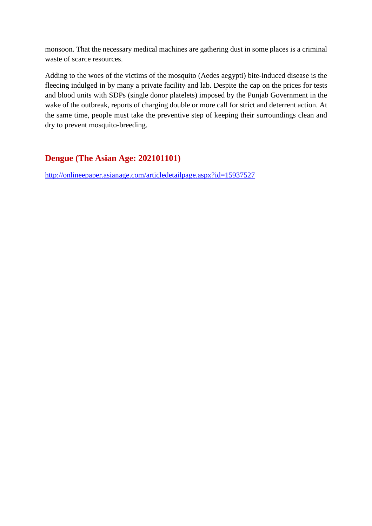monsoon. That the necessary medical machines are gathering dust in some places is a criminal waste of scarce resources.

Adding to the woes of the victims of the mosquito (Aedes aegypti) bite-induced disease is the fleecing indulged in by many a private facility and lab. Despite the cap on the prices for tests and blood units with SDPs (single donor platelets) imposed by the Punjab Government in the wake of the outbreak, reports of charging double or more call for strict and deterrent action. At the same time, people must take the preventive step of keeping their surroundings clean and dry to prevent mosquito-breeding.

#### **Dengue (The Asian Age: 202101101)**

http://onlineepaper.asianage.com/articledetailpage.aspx?id=15937527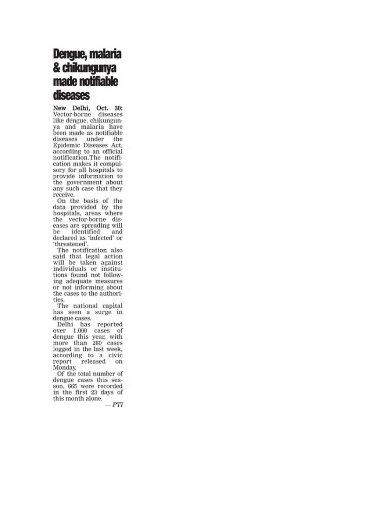### Dengue, malaria & chikungunya made notifiable diseases

New Delhi, Oct. 30: Vector-borne diseases like dengue, chikungunya and malaria have been made as notifiable diseases under the<br>Epidemic Diseases Act, according to an official notification.The notification makes it compulsory for all hospitals to provide information to the government about<br>any such case that they receive.

On the basis of the data provided by the hospitals, areas where the vector-borne diseases are spreading will be identified and declared as 'infected' or 'threatened'.

The notification also said that legal action<br>will be taken against individuals or institutions found not following adequate measures or not informing about the cases to the authorities.

The national capital has seen a surge in dengue cases.

Delhi has reported over 1,000 cases of dengue this year, with<br>more than 280 cases logged in the last week. according to a civic report released on **Monday** 

Of the total number of dengue cases this season, 665 were recorded in the first 23 days of this month alone.

 $-PTI$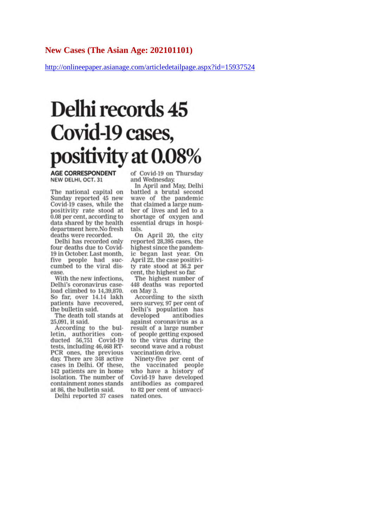#### **New Cases (The Asian Age: 202101101)**

http://onlineepaper.asianage.com/articledetailpage.aspx?id=15937524

# Delhi records 45 Covid-19 cases, positivity at 0.08%

**AGE CORRESPONDENT** NEW DELHI, OCT. 31

The national capital on Sunday reported 45 new Covid-19 cases, while the positivity rate stood at 0.08 per cent, according to data shared by the health department here. No fresh deaths were recorded.

Delhi has recorded only four deaths due to Covid-19 in October. Last month, five people had succumbed to the viral dis- $\theta$ 390

With the new infections. Delhi's coronavirus caseload climbed to 14,39,870. So far, over 14.14 lakh patients have recovered, the bulletin said.

The death toll stands at 25,091, it said.

According to the bulletin, authorities conducted 56,751 Covid-19 tests, including 46,468 RT-PCR ones, the previous day. There are 348 active cases in Delhi. Of these, 142 patients are in home isolation. The number of containment zones stands at 86, the bulletin said.

Delhi reported 37 cases

of Covid-19 on Thursday and Wednesday.

In April and May, Delhi battled a brutal second wave of the pandemic that claimed a large number of lives and led to a shortage of oxygen and essential drugs in hospitals.

On April 20, the city reported 28,395 cases, the highest since the pandemic began last year. On April 22, the case positivity rate stood at 36.2 per cent, the highest so far.

The highest number of 448 deaths was reported on May 3.

According to the sixth sero survey, 97 per cent of Delhi's population has developed antibodies against coronavirus as a result of a large number of people getting exposed to the virus during the second wave and a robust vaccination drive.

Ninety-five per cent of the vaccinated people who have a history of Covid-19 have developed antibodies as compared to 82 per cent of unvaccinated ones.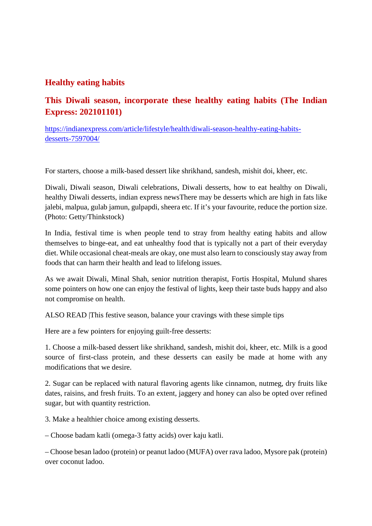#### **Healthy eating habits**

#### **This Diwali season, incorporate these healthy eating habits (The Indian Express: 202101101)**

https://indianexpress.com/article/lifestyle/health/diwali-season-healthy-eating-habitsdesserts-7597004/

For starters, choose a milk-based dessert like shrikhand, sandesh, mishit doi, kheer, etc.

Diwali, Diwali season, Diwali celebrations, Diwali desserts, how to eat healthy on Diwali, healthy Diwali desserts, indian express newsThere may be desserts which are high in fats like jalebi, malpua, gulab jamun, gulpapdi, sheera etc. If it's your favourite, reduce the portion size. (Photo: Getty/Thinkstock)

In India, festival time is when people tend to stray from healthy eating habits and allow themselves to binge-eat, and eat unhealthy food that is typically not a part of their everyday diet. While occasional cheat-meals are okay, one must also learn to consciously stay away from foods that can harm their health and lead to lifelong issues.

As we await Diwali, Minal Shah, senior nutrition therapist, Fortis Hospital, Mulund shares some pointers on how one can enjoy the festival of lights, keep their taste buds happy and also not compromise on health.

ALSO READ |This festive season, balance your cravings with these simple tips

Here are a few pointers for enjoying guilt-free desserts:

1. Choose a milk-based dessert like shrikhand, sandesh, mishit doi, kheer, etc. Milk is a good source of first-class protein, and these desserts can easily be made at home with any modifications that we desire.

2. Sugar can be replaced with natural flavoring agents like cinnamon, nutmeg, dry fruits like dates, raisins, and fresh fruits. To an extent, jaggery and honey can also be opted over refined sugar, but with quantity restriction.

3. Make a healthier choice among existing desserts.

– Choose badam katli (omega-3 fatty acids) over kaju katli.

– Choose besan ladoo (protein) or peanut ladoo (MUFA) over rava ladoo, Mysore pak (protein) over coconut ladoo.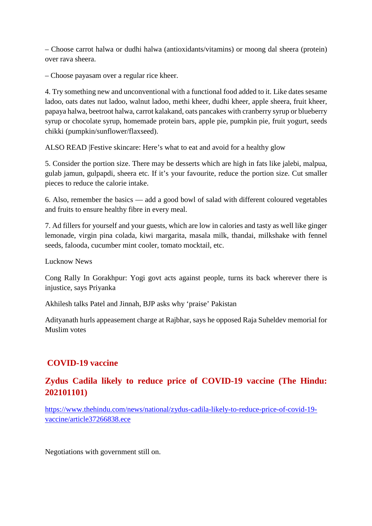– Choose carrot halwa or dudhi halwa (antioxidants/vitamins) or moong dal sheera (protein) over rava sheera.

– Choose payasam over a regular rice kheer.

4. Try something new and unconventional with a functional food added to it. Like dates sesame ladoo, oats dates nut ladoo, walnut ladoo, methi kheer, dudhi kheer, apple sheera, fruit kheer, papaya halwa, beetroot halwa, carrot kalakand, oats pancakes with cranberry syrup or blueberry syrup or chocolate syrup, homemade protein bars, apple pie, pumpkin pie, fruit yogurt, seeds chikki (pumpkin/sunflower/flaxseed).

ALSO READ |Festive skincare: Here's what to eat and avoid for a healthy glow

5. Consider the portion size. There may be desserts which are high in fats like jalebi, malpua, gulab jamun, gulpapdi, sheera etc. If it's your favourite, reduce the portion size. Cut smaller pieces to reduce the calorie intake.

6. Also, remember the basics — add a good bowl of salad with different coloured vegetables and fruits to ensure healthy fibre in every meal.

7. Ad fillers for yourself and your guests, which are low in calories and tasty as well like ginger lemonade, virgin pina colada, kiwi margarita, masala milk, thandai, milkshake with fennel seeds, falooda, cucumber mint cooler, tomato mocktail, etc.

Lucknow News

Cong Rally In Gorakhpur: Yogi govt acts against people, turns its back wherever there is injustice, says Priyanka

Akhilesh talks Patel and Jinnah, BJP asks why 'praise' Pakistan

Adityanath hurls appeasement charge at Rajbhar, says he opposed Raja Suheldev memorial for Muslim votes

#### **COVID-19 vaccine**

#### **Zydus Cadila likely to reduce price of COVID-19 vaccine (The Hindu: 202101101)**

https://www.thehindu.com/news/national/zydus-cadila-likely-to-reduce-price-of-covid-19 vaccine/article37266838.ece

Negotiations with government still on.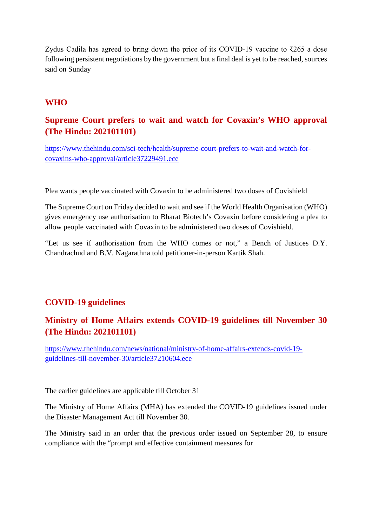Zydus Cadila has agreed to bring down the price of its COVID-19 vaccine to ₹265 a dose following persistent negotiations by the government but a final deal is yet to be reached, sources said on Sunday

#### **WHO**

#### **Supreme Court prefers to wait and watch for Covaxin's WHO approval (The Hindu: 202101101)**

https://www.thehindu.com/sci-tech/health/supreme-court-prefers-to-wait-and-watch-forcovaxins-who-approval/article37229491.ece

Plea wants people vaccinated with Covaxin to be administered two doses of Covishield

The Supreme Court on Friday decided to wait and see if the World Health Organisation (WHO) gives emergency use authorisation to Bharat Biotech's Covaxin before considering a plea to allow people vaccinated with Covaxin to be administered two doses of Covishield.

"Let us see if authorisation from the WHO comes or not," a Bench of Justices D.Y. Chandrachud and B.V. Nagarathna told petitioner-in-person Kartik Shah.

#### **COVID-19 guidelines**

#### **Ministry of Home Affairs extends COVID-19 guidelines till November 30 (The Hindu: 202101101)**

https://www.thehindu.com/news/national/ministry-of-home-affairs-extends-covid-19 guidelines-till-november-30/article37210604.ece

The earlier guidelines are applicable till October 31

The Ministry of Home Affairs (MHA) has extended the COVID-19 guidelines issued under the Disaster Management Act till November 30.

The Ministry said in an order that the previous order issued on September 28, to ensure compliance with the "prompt and effective containment measures for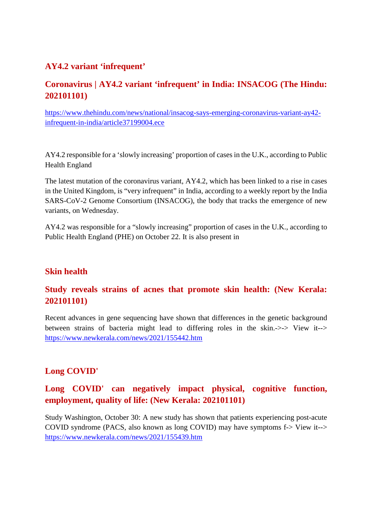#### **AY4.2 variant 'infrequent'**

#### **Coronavirus | AY4.2 variant 'infrequent' in India: INSACOG (The Hindu: 202101101)**

https://www.thehindu.com/news/national/insacog-says-emerging-coronavirus-variant-ay42 infrequent-in-india/article37199004.ece

AY4.2 responsible for a 'slowly increasing' proportion of cases in the U.K., according to Public Health England

The latest mutation of the coronavirus variant, AY4.2, which has been linked to a rise in cases in the United Kingdom, is "very infrequent" in India, according to a weekly report by the India SARS-CoV-2 Genome Consortium (INSACOG), the body that tracks the emergence of new variants, on Wednesday.

AY4.2 was responsible for a "slowly increasing" proportion of cases in the U.K., according to Public Health England (PHE) on October 22. It is also present in

#### **Skin health**

#### **Study reveals strains of acnes that promote skin health: (New Kerala: 202101101)**

Recent advances in gene sequencing have shown that differences in the genetic background between strains of bacteria might lead to differing roles in the skin.->-> View it--> https://www.newkerala.com/news/2021/155442.htm

#### **Long COVID'**

#### **Long COVID' can negatively impact physical, cognitive function, employment, quality of life: (New Kerala: 202101101)**

Study Washington, October 30: A new study has shown that patients experiencing post-acute COVID syndrome (PACS, also known as long COVID) may have symptoms f-> View it--> https://www.newkerala.com/news/2021/155439.htm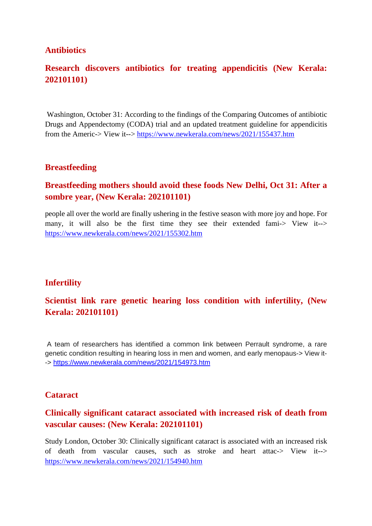#### **Antibiotics**

#### **Research discovers antibiotics for treating appendicitis (New Kerala: 202101101)**

Washington, October 31: According to the findings of the Comparing Outcomes of antibiotic Drugs and Appendectomy (CODA) trial and an updated treatment guideline for appendicitis from the Americ-> View it--> https://www.newkerala.com/news/2021/155437.htm

#### **Breastfeeding**

#### **Breastfeeding mothers should avoid these foods New Delhi, Oct 31: After a sombre year, (New Kerala: 202101101)**

people all over the world are finally ushering in the festive season with more joy and hope. For many, it will also be the first time they see their extended fami-> View it--> https://www.newkerala.com/news/2021/155302.htm

#### **Infertility**

#### **Scientist link rare genetic hearing loss condition with infertility, (New Kerala: 202101101)**

A team of researchers has identified a common link between Perrault syndrome, a rare genetic condition resulting in hearing loss in men and women, and early menopaus-> View it- -> https://www.newkerala.com/news/2021/154973.htm

#### **Cataract**

#### **Clinically significant cataract associated with increased risk of death from vascular causes: (New Kerala: 202101101)**

Study London, October 30: Clinically significant cataract is associated with an increased risk of death from vascular causes, such as stroke and heart attac-> View it--> https://www.newkerala.com/news/2021/154940.htm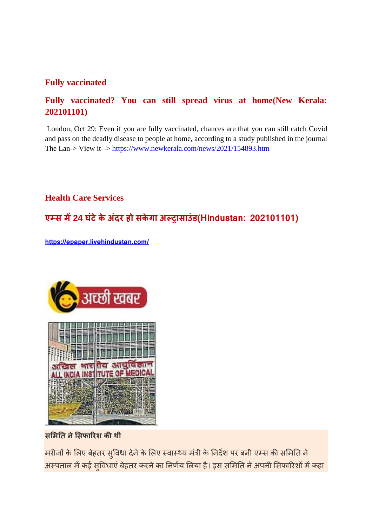#### **Fully vaccinated**

#### **Fully vaccinated? You can still spread virus at home(New Kerala: 202101101)**

London, Oct 29: Even if you are fully vaccinated, chances are that you can still catch Covid and pass on the deadly disease to people at home, according to a study published in the journal The Lan-> View it--> https://www.newkerala.com/news/2021/154893.htm

#### **Health Care Services**

#### **एस म24 घंटेके अंदर हो सकेगा अासाउंड(Hindustan: 202101101)**

**https://epaper.livehindustan.com/**



#### **समत नेसफारश कथी**

मरीजों के लिए बेहतर सुविधा देने के लिए स्वास्थ्य मंत्री के निर्देश पर बनी एम्स की समिति ने अस्पताल में कई सुविधाएं बेहतर करने का निर्णय लिया है। इस समिति ने अपनी सिफारिशों में कहा